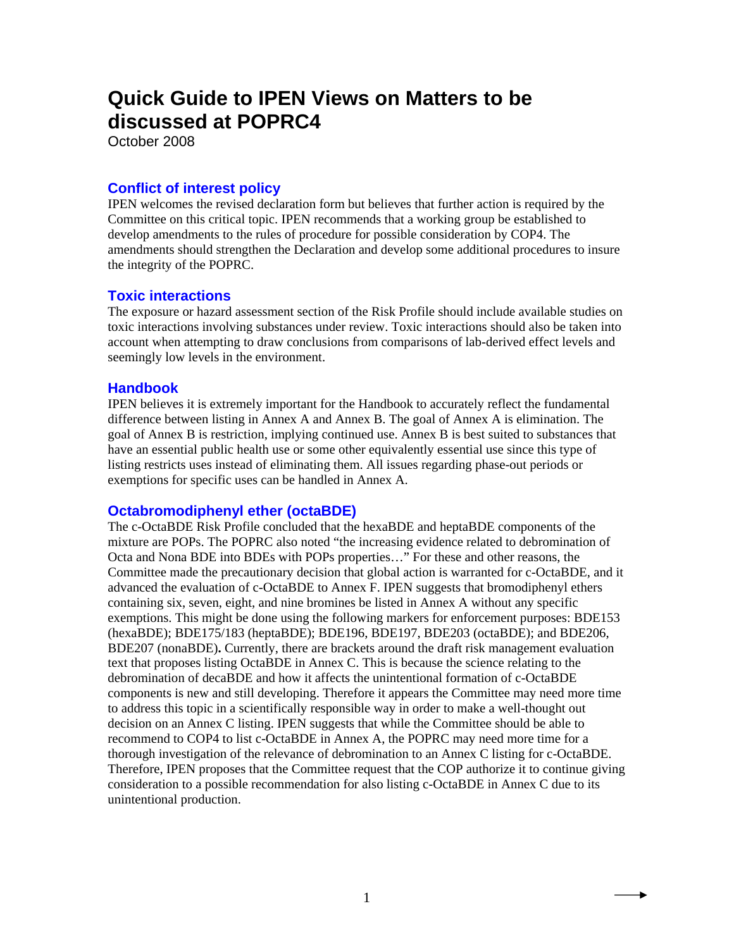# **Quick Guide to IPEN Views on Matters to be discussed at POPRC4**

October 2008

# **Conflict of interest policy**

IPEN welcomes the revised declaration form but believes that further action is required by the Committee on this critical topic. IPEN recommends that a working group be established to develop amendments to the rules of procedure for possible consideration by COP4. The amendments should strengthen the Declaration and develop some additional procedures to insure the integrity of the POPRC.

# **Toxic interactions**

The exposure or hazard assessment section of the Risk Profile should include available studies on toxic interactions involving substances under review. Toxic interactions should also be taken into account when attempting to draw conclusions from comparisons of lab-derived effect levels and seemingly low levels in the environment.

## **Handbook**

IPEN believes it is extremely important for the Handbook to accurately reflect the fundamental difference between listing in Annex A and Annex B. The goal of Annex A is elimination. The goal of Annex B is restriction, implying continued use. Annex B is best suited to substances that have an essential public health use or some other equivalently essential use since this type of listing restricts uses instead of eliminating them. All issues regarding phase-out periods or exemptions for specific uses can be handled in Annex A.

## **Octabromodiphenyl ether (octaBDE)**

The c-OctaBDE Risk Profile concluded that the hexaBDE and heptaBDE components of the mixture are POPs. The POPRC also noted "the increasing evidence related to debromination of Octa and Nona BDE into BDEs with POPs properties…" For these and other reasons, the Committee made the precautionary decision that global action is warranted for c-OctaBDE, and it advanced the evaluation of c-OctaBDE to Annex F. IPEN suggests that bromodiphenyl ethers containing six, seven, eight, and nine bromines be listed in Annex A without any specific exemptions. This might be done using the following markers for enforcement purposes: BDE153 (hexaBDE); BDE175/183 (heptaBDE); BDE196, BDE197, BDE203 (octaBDE); and BDE206, BDE207 (nonaBDE)**.** Currently, there are brackets around the draft risk management evaluation text that proposes listing OctaBDE in Annex C. This is because the science relating to the debromination of decaBDE and how it affects the unintentional formation of c-OctaBDE components is new and still developing. Therefore it appears the Committee may need more time to address this topic in a scientifically responsible way in order to make a well-thought out decision on an Annex C listing. IPEN suggests that while the Committee should be able to recommend to COP4 to list c-OctaBDE in Annex A, the POPRC may need more time for a thorough investigation of the relevance of debromination to an Annex C listing for c-OctaBDE. Therefore, IPEN proposes that the Committee request that the COP authorize it to continue giving consideration to a possible recommendation for also listing c-OctaBDE in Annex C due to its unintentional production.